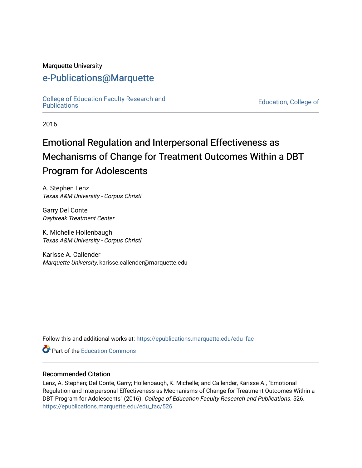#### Marquette University

## [e-Publications@Marquette](https://epublications.marquette.edu/)

College of Education Faculty Research and<br>Publications

Education, College of

2016

# Emotional Regulation and Interpersonal Effectiveness as Mechanisms of Change for Treatment Outcomes Within a DBT Program for Adolescents

A. Stephen Lenz Texas A&M University - Corpus Christi

Garry Del Conte Daybreak Treatment Center

K. Michelle Hollenbaugh Texas A&M University - Corpus Christi

Karisse A. Callender Marquette University, karisse.callender@marquette.edu

Follow this and additional works at: [https://epublications.marquette.edu/edu\\_fac](https://epublications.marquette.edu/edu_fac?utm_source=epublications.marquette.edu%2Fedu_fac%2F526&utm_medium=PDF&utm_campaign=PDFCoverPages) 

**Part of the [Education Commons](http://network.bepress.com/hgg/discipline/784?utm_source=epublications.marquette.edu%2Fedu_fac%2F526&utm_medium=PDF&utm_campaign=PDFCoverPages)** 

#### Recommended Citation

Lenz, A. Stephen; Del Conte, Garry; Hollenbaugh, K. Michelle; and Callender, Karisse A., "Emotional Regulation and Interpersonal Effectiveness as Mechanisms of Change for Treatment Outcomes Within a DBT Program for Adolescents" (2016). College of Education Faculty Research and Publications. 526. [https://epublications.marquette.edu/edu\\_fac/526](https://epublications.marquette.edu/edu_fac/526?utm_source=epublications.marquette.edu%2Fedu_fac%2F526&utm_medium=PDF&utm_campaign=PDFCoverPages)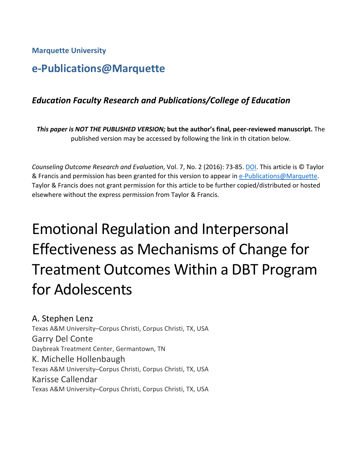**Marquette University**

# **e-Publications@Marquette**

## *Education Faculty Research and Publications/College of Education*

*This paper is NOT THE PUBLISHED VERSION;* **but the author's final, peer-reviewed manuscript.** The published version may be accessed by following the link in th citation below.

*Counseling Outcome Research and Evaluation*, Vol. 7, No. 2 (2016): 73-85. [DOI.](https://doi.org/10.1177/2150137816642439) This article is © Taylor & Francis and permission has been granted for this version to appear in [e-Publications@Marquette.](http://epublications.marquette.edu/) Taylor & Francis does not grant permission for this article to be further copied/distributed or hosted elsewhere without the express permission from Taylor & Francis.

# Emotional Regulation and Interpersonal Effectiveness as Mechanisms of Change for Treatment Outcomes Within a DBT Program for Adolescents

A. Stephen Lenz Texas A&M University–Corpus Christi, Corpus Christi, TX, USA Garry Del Conte Daybreak Treatment Center, Germantown, TN K. Michelle Hollenbaugh Texas A&M University–Corpus Christi, Corpus Christi, TX, USA Karisse Callendar Texas A&M University–Corpus Christi, Corpus Christi, TX, USA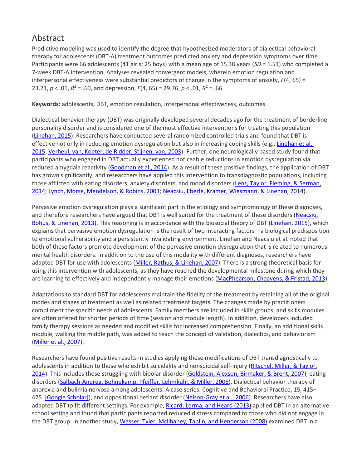## Abstract

Predictive modeling was used to identify the degree that hypothesized moderators of dialectical behavioral therapy for adolescents (DBT-A) treatment outcomes predicted anxiety and depression symptoms over time. Participants were 66 adolescents (41 girls; 25 boys) with a mean age of 15.38 years (*SD* = 1.51) who completed a 7-week DBT-A intervention. Analyses revealed convergent models, wherein emotion regulation and interpersonal effectiveness were substantial predictors of change in the symptoms of anxiety, *F*(4, 65) = 23.21,  $p < .01$ ,  $R^2 = .60$ , and depression,  $F(4, 65) = 29.76$ ,  $p < .01$ ,  $R^2 = .66$ .

**Keywords:** adolescents, DBT, emotion regulation, interpersonal effectiveness, outcomes

Dialectical behavior therapy (DBT) was originally developed several decades ago for the treatment of borderline personality disorder and is considered one of the most effective interventions for treating this population [\(Linehan, 2015\)](https://www.tandfonline.com/doi/full/10.1177/2150137816642439). Researchers have conducted several randomized controlled trials and found that DBT is effective not only in reducing emotion dysregulation but also in increasing coping skills (e.g., [Linehan et al.,](https://www.tandfonline.com/doi/full/10.1177/2150137816642439)  [2015;](https://www.tandfonline.com/doi/full/10.1177/2150137816642439) [Verheul, van, Koeter, de Ridder, Stijnen, van, 2003\)](https://www.tandfonline.com/doi/full/10.1177/2150137816642439). Further, one neurologically based study found that participants who engaged in DBT actually experienced noticeable reductions in emotion dysregulation via reduced amygdala reactivity [\(Goodman et al., 2014\)](https://www.tandfonline.com/doi/full/10.1177/2150137816642439). As a result of these positive findings, the application of DBT has grown significantly, and researchers have applied this intervention to transdiagnostic populations, including those afflicted with eating disorders, anxiety disorders, and mood disorders [\(Lenz, Taylor, Fleming, & Serman,](https://www.tandfonline.com/doi/full/10.1177/2150137816642439)  [2014;](https://www.tandfonline.com/doi/full/10.1177/2150137816642439) [Lynch, Morse, Mendelson, & Robins, 2003;](https://www.tandfonline.com/doi/full/10.1177/2150137816642439) [Neacsiu, Eberle, Kramer, Wiesmann, & Linehan, 2014\)](https://www.tandfonline.com/doi/full/10.1177/2150137816642439).

Pervasive emotion dysregulation plays a significant part in the etiology and symptomology of these diagnoses, and therefore researchers have argued that DBT is well suited for the treatment of these disorders [\(Neacsiu,](https://www.tandfonline.com/doi/full/10.1177/2150137816642439)  [Bohus, & Linehan, 2013\)](https://www.tandfonline.com/doi/full/10.1177/2150137816642439). This reasoning is in accordance with the biosocial theory of DBT [\(Linehan, 2015\)](https://www.tandfonline.com/doi/full/10.1177/2150137816642439), which explains that pervasive emotion dysregulation is the result of two interacting factors—a biological predisposition to emotional vulnerability and a persistently invalidating environment. Linehan and Neacsiu et al. noted that both of these factors promote development of the pervasive emotion dysregulation that is related to numerous mental health disorders. In addition to the use of this modality with different diagnoses, researchers have adapted DBT for use with adolescents [\(Miller, Rathus, & Linehan, 2007\)](https://www.tandfonline.com/doi/full/10.1177/2150137816642439). There is a strong theoretical basis for using this intervention with adolescents, as they have reached the developmental milestone during which they are learning to effectively and independently manage their emotions [\(MacPhearson, Cheavens, & Fristad, 2013\)](https://www.tandfonline.com/doi/full/10.1177/2150137816642439).

Adaptations to standard DBT for adolescents maintain the fidelity of the treatment by retaining all of the original modes and stages of treatment as well as related treatment targets. The changes made by practitioners compliment the specific needs of adolescents. Family members are included in skills groups, and skills modules are often offered for shorter periods of time (session and module length). In addition, developers included family therapy sessions as needed and modified skills for increased comprehension. Finally, an additional skills module, walking the middle path, was added to teach the concept of validation, dialectics, and behaviorism [\(Miller et al., 2007\)](https://www.tandfonline.com/doi/full/10.1177/2150137816642439).

Researchers have found positive results in studies applying these modifications of DBT transdiagnostically to adolescents in addition to those who exhibit suicidality and nonsuicidal self-injury (Ritschel, Miller, & Taylor, [2014\)](https://www.tandfonline.com/doi/full/10.1177/2150137816642439). This includes those struggling with bipolar disorder [\(Goldstein, Alexson, Birmaker, & Brent, 2007\)](https://www.tandfonline.com/doi/full/10.1177/2150137816642439), eating disorders [\(Salbach-Andrea, Bohnekamp, Pfeiffer, Lehmkuhl, & Miller, 2008\)](https://www.tandfonline.com/doi/full/10.1177/2150137816642439). Dialectical behavior therapy of anorexia and bulimia nervosa among adolescents: A case series. Cognitive and Behavioral Practice, 15, 415– 425. [\[Google Scholar\]\)](http://scholar.google.com/scholar_lookup?hl=en&publication_year=2008&pages=415-425&author=Salbach-Andrea+Salbach-Andrea&author=Bohnekamp+Bohnekamp&author=Pfeiffer+Pfeiffer&author=Lehmkuhl+Lehmkuhl&author=A.+L.+Miller&title=Dialectical+behavior+therapy+of+anorexia+and+bulimia+nervosa+among+adolescents%3A+A+case+series), and oppositional defiant disorder [\(Nelson-Gray et al., 2006\)](https://www.tandfonline.com/doi/full/10.1177/2150137816642439). Researchers have also adapted DBT to fit different settings. For example, Ricard, Lerma, [and Heard \(2013\)](https://www.tandfonline.com/doi/full/10.1177/2150137816642439) applied DBT in an alternative school setting and found that participants reported reduced distress compared to those who did not engage in the DBT group. In another study, [Wasser, Tyler, Mcllhaney, Taplin, and Henderson \(2008\)](https://www.tandfonline.com/doi/full/10.1177/2150137816642439) examined DBT in a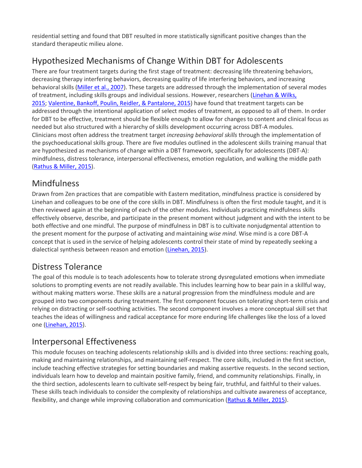residential setting and found that DBT resulted in more statistically significant positive changes than the standard therapeutic milieu alone.

# Hypothesized Mechanisms of Change Within DBT for Adolescents

There are four treatment targets during the first stage of treatment: decreasing life threatening behaviors, decreasing therapy interfering behaviors, decreasing quality of life interfering behaviors, and increasing behavioral skills [\(Miller et al., 2007\)](https://www.tandfonline.com/doi/full/10.1177/2150137816642439). These targets are addressed through the implementation of several modes of treatment, including skills groups and individual sessions. However, researchers [\(Linehan & Wilks,](https://www.tandfonline.com/doi/full/10.1177/2150137816642439)  [2015;](https://www.tandfonline.com/doi/full/10.1177/2150137816642439) [Valentine, Bankoff, Poulin, Reidler, & Pantalone, 2015\)](https://www.tandfonline.com/doi/full/10.1177/2150137816642439) have found that treatment targets can be addressed through the intentional application of select modes of treatment, as opposed to all of them. In order for DBT to be effective, treatment should be flexible enough to allow for changes to content and clinical focus as needed but also structured with a hierarchy of skills development occurring across DBT-A modules. Clinicians most often address the treatment target *increasing behavioral skills* through the implementation of the psychoeducational skills group. There are five modules outlined in the adolescent skills training manual that are hypothesized as mechanisms of change within a DBT framework, specifically for adolescents (DBT-A): mindfulness, distress tolerance, interpersonal effectiveness, emotion regulation, and walking the middle path [\(Rathus & Miller, 2015\)](https://www.tandfonline.com/doi/full/10.1177/2150137816642439).

## Mindfulness

Drawn from Zen practices that are compatible with Eastern meditation, mindfulness practice is considered by Linehan and colleagues to be one of the core skills in DBT. Mindfulness is often the first module taught, and it is then reviewed again at the beginning of each of the other modules. Individuals practicing mindfulness skills effectively observe, describe, and participate in the present moment without judgment and with the intent to be both effective and one mindful. The purpose of mindfulness in DBT is to cultivate nonjudgmental attention to the present moment for the purpose of activating and maintaining *wise mind*. Wise mind is a core DBT-A concept that is used in the service of helping adolescents control their state of mind by repeatedly seeking a dialectical synthesis between reason and emotion [\(Linehan, 2015\)](https://www.tandfonline.com/doi/full/10.1177/2150137816642439).

# Distress Tolerance

The goal of this module is to teach adolescents how to tolerate strong dysregulated emotions when immediate solutions to prompting events are not readily available. This includes learning how to bear pain in a skillful way, without making matters worse. These skills are a natural progression from the mindfulness module and are grouped into two components during treatment. The first component focuses on tolerating short-term crisis and relying on distracting or self-soothing activities. The second component involves a more conceptual skill set that teaches the ideas of willingness and radical acceptance for more enduring life challenges like the loss of a loved one [\(Linehan, 2015\)](https://www.tandfonline.com/doi/full/10.1177/2150137816642439).

## Interpersonal Effectiveness

This module focuses on teaching adolescents relationship skills and is divided into three sections: reaching goals, making and maintaining relationships, and maintaining self-respect. The core skills, included in the first section, include teaching effective strategies for setting boundaries and making assertive requests. In the second section, individuals learn how to develop and maintain positive family, friend, and community relationships. Finally, in the third section, adolescents learn to cultivate self-respect by being fair, truthful, and faithful to their values. These skills teach individuals to consider the complexity of relationships and cultivate awareness of acceptance, flexibility, and change while improving collaboration and communication [\(Rathus & Miller, 2015\)](https://www.tandfonline.com/doi/full/10.1177/2150137816642439).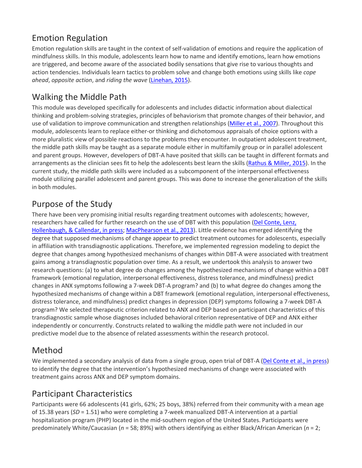# Emotion Regulation

Emotion regulation skills are taught in the context of self-validation of emotions and require the application of mindfulness skills. In this module, adolescents learn how to name and identify emotions, learn how emotions are triggered, and become aware of the associated bodily sensations that give rise to various thoughts and action tendencies. Individuals learn tactics to problem solve and change both emotions using skills like *cope ahead*, *opposite action*, and *riding the wave* [\(Linehan, 2015\)](https://www.tandfonline.com/doi/full/10.1177/2150137816642439).

# Walking the Middle Path

This module was developed specifically for adolescents and includes didactic information about dialectical thinking and problem-solving strategies, principles of behaviorism that promote changes of their behavior, and use of validation to improve communication and strengthen relationships [\(Miller et al., 2007\)](https://www.tandfonline.com/doi/full/10.1177/2150137816642439). Throughout this module, adolescents learn to replace either-or thinking and dichotomous appraisals of choice options with a more pluralistic view of possible reactions to the problems they encounter. In outpatient adolescent treatment, the middle path skills may be taught as a separate module either in multifamily group or in parallel adolescent and parent groups. However, developers of DBT-A have posited that skills can be taught in different formats and arrangements as the clinician sees fit to help the adolescents best learn the skills [\(Rathus & Miller, 2015\)](https://www.tandfonline.com/doi/full/10.1177/2150137816642439). In the current study, the middle path skills were included as a subcomponent of the interpersonal effectiveness module utilizing parallel adolescent and parent groups. This was done to increase the generalization of the skills in both modules.

# Purpose of the Study

There have been very promising initial results regarding treatment outcomes with adolescents; however, researchers have called for further research on the use of DBT with this population [\(Del Conte, Lenz,](https://www.tandfonline.com/doi/full/10.1177/2150137816642439)  [Hollenbaugh, & Callendar, in press;](https://www.tandfonline.com/doi/full/10.1177/2150137816642439) [MacPhearson et al., 2013\)](https://www.tandfonline.com/doi/full/10.1177/2150137816642439). Little evidence has emerged identifying the degree that supposed mechanisms of change appear to predict treatment outcomes for adolescents, especially in affiliation with transdiagnostic applications. Therefore, we implemented regression modeling to depict the degree that changes among hypothesized mechanisms of changes within DBT-A were associated with treatment gains among a transdiagnostic population over time. As a result, we undertook this analysis to answer two research questions: (a) to what degree do changes among the hypothesized mechanisms of change within a DBT framework (emotional regulation, interpersonal effectiveness, distress tolerance, and mindfulness) predict changes in ANX symptoms following a 7-week DBT-A program? and (b) to what degree do changes among the hypothesized mechanisms of change within a DBT framework (emotional regulation, interpersonal effectiveness, distress tolerance, and mindfulness) predict changes in depression (DEP) symptoms following a 7-week DBT-A program? We selected therapeutic criterion related to ANX and DEP based on participant characteristics of this transdiagnostic sample whose diagnoses included behavioral criterion representative of DEP and ANX either independently or concurrently. Constructs related to walking the middle path were not included in our predictive model due to the absence of related assessments within the research protocol.

## Method

We implemented a secondary analysis of data from a single group, open trial of DBT-A [\(Del Conte et al., in press\)](https://www.tandfonline.com/doi/full/10.1177/2150137816642439) to identify the degree that the intervention's hypothesized mechanisms of change were associated with treatment gains across ANX and DEP symptom domains.

# Participant Characteristics

Participants were 66 adolescents (41 girls, 62%; 25 boys, 38%) referred from their community with a mean age of 15.38 years (*SD* = 1.51) who were completing a 7-week manualized DBT-A intervention at a partial hospitalization program (PHP) located in the mid-southern region of the United States. Participants were predominately White/Caucasian (*n* = 58; 89%) with others identifying as either Black/African American (*n* = 2;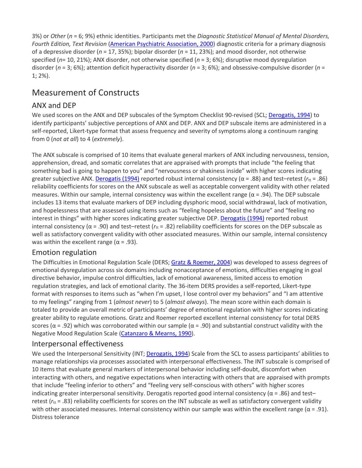3%) or *Other* (*n* = 6; 9%) ethnic identities. Participants met the *Diagnostic Statistical Manual of Mental Disorders, Fourth Edition, Text Revision* [\(American Psychiatric Association, 2000\)](https://www.tandfonline.com/doi/full/10.1177/2150137816642439) diagnostic criteria for a primary diagnosis of a depressive disorder (*n* = 17, 35%); bipolar disorder (*n* = 11, 23%); and mood disorder, not otherwise specified ( $n=10$ , 21%); ANX disorder, not otherwise specified ( $n=3$ ; 6%); disruptive mood dysregulation disorder (*n* = 3; 6%); attention deficit hyperactivity disorder (*n* = 3; 6%); and obsessive-compulsive disorder (*n* = 1; 2%).

## Measurement of Constructs

#### ANX and DEP

We used scores on the ANX and DEP subscales of the Symptom Checklist 90-revised (SCL; [Derogatis, 1994\)](https://www.tandfonline.com/doi/full/10.1177/2150137816642439) to identify participants' subjective perceptions of ANX and DEP. ANX and DEP subscale items are administered in a self-reported, Likert-type format that assess frequency and severity of symptoms along a continuum ranging from 0 (*not at all*) to 4 (*extremely*).

The ANX subscale is comprised of 10 items that evaluate general markers of ANX including nervousness, tension, apprehension, dread, and somatic correlates that are appraised with prompts that include "the feeling that something bad is going to happen to you" and "nervousness or shakiness inside" with higher scores indicating greater subjective ANX. [Derogatis \(1994\)](https://www.tandfonline.com/doi/full/10.1177/2150137816642439) reported robust internal consistency (α = .88) and test–retest ( $r_{tt}$  = .86) reliability coefficients for scores on the ANX subscale as well as acceptable convergent validity with other related measures. Within our sample, internal consistency was within the excellent range ( $\alpha$  = .94). The DEP subscale includes 13 items that evaluate markers of DEP including dysphoric mood, social withdrawal, lack of motivation, and hopelessness that are assessed using items such as "feeling hopeless about the future" and "feeling no interest in things" with higher scores indicating greater subjective DEP. [Derogatis \(1994\)](https://www.tandfonline.com/doi/full/10.1177/2150137816642439) reported robust internal consistency ( $\alpha$  = .90) and test–retest ( $r_{tt}$  = .82) reliability coefficients for scores on the DEP subscale as well as satisfactory convergent validity with other associated measures. Within our sample, internal consistency was within the excellent range ( $\alpha$  = .93).

#### Emotion regulation

The Difficulties in Emotional Regulation Scale (DERS; [Gratz & Roemer, 2004\)](https://www.tandfonline.com/doi/full/10.1177/2150137816642439) was developed to assess degrees of emotional dysregulation across six domains including nonacceptance of emotions, difficulties engaging in goal directive behavior, impulse control difficulties, lack of emotional awareness, limited access to emotion regulation strategies, and lack of emotional clarity. The 36-item DERS provides a self-reported, Likert-type format with responses to items such as "when I'm upset, I lose control over my behaviors" and "I am attentive to my feelings" ranging from 1 (*almost never*) to 5 (*almost always*). The mean score within each domain is totaled to provide an overall metric of participants' degree of emotional regulation with higher scores indicating greater ability to regulate emotions. Gratz and Roemer reported excellent internal consistency for total DERS scores ( $\alpha$  = .92) which was corroborated within our sample ( $\alpha$  = .90) and substantial construct validity with the Negative Mood Regulation Scale [\(Catanzaro & Mearns, 1990\)](https://www.tandfonline.com/doi/full/10.1177/2150137816642439).

#### Interpersonal effectiveness

We used the Interpersonal Sensitivity (INT; [Derogatis, 1994\)](https://www.tandfonline.com/doi/full/10.1177/2150137816642439) Scale from the SCL to assess participants' abilities to manage relationships via processes associated with interpersonal effectiveness. The INT subscale is comprised of 10 items that evaluate general markers of interpersonal behavior including self-doubt, discomfort when interacting with others, and negative expectations when interacting with others that are appraised with prompts that include "feeling inferior to others" and "feeling very self-conscious with others" with higher scores indicating greater interpersonal sensitivity. Derogatis reported good internal consistency ( $\alpha$  = .86) and test– retest ( $r_{tt}$  = .83) reliability coefficients for scores on the INT subscale as well as satisfactory convergent validity with other associated measures. Internal consistency within our sample was within the excellent range ( $\alpha$  = .91). Distress tolerance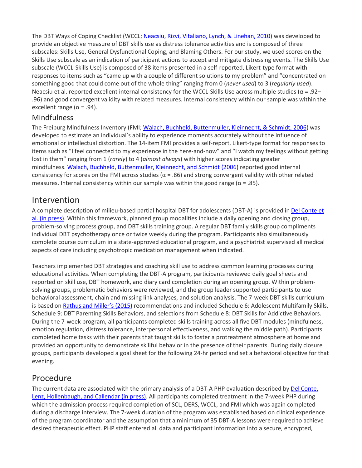The DBT Ways of Coping Checklist (WCCL; [Neacsiu, Rizvi, Vitaliano, Lynch, & Linehan, 2010\)](https://www.tandfonline.com/doi/full/10.1177/2150137816642439) was developed to provide an objective measure of DBT skills use as distress tolerance activities and is composed of three subscales: Skills Use, General Dysfunctional Coping, and Blaming Others. For our study, we used scores on the Skills Use subscale as an indication of participant actions to accept and mitigate distressing events. The Skills Use subscale (WCCL-Skills Use) is composed of 38 items presented in a self-reported, Likert-type format with responses to items such as "came up with a couple of different solutions to my problem" and "concentrated on something good that could come out of the whole thing" ranging from 0 (*never used*) to 3 (*regularly used*). Neacsiu et al. reported excellent internal consistency for the WCCL-Skills Use across multiple studies ( $\alpha$  = .92– .96) and good convergent validity with related measures. Internal consistency within our sample was within the excellent range ( $\alpha$  = .94).

#### Mindfulness

The Freiburg Mindfulness Inventory (FMI; [Walach, Buchheld, Buttenmuller, Kleinnecht, & Schmidt, 2006\)](https://www.tandfonline.com/doi/full/10.1177/2150137816642439) was developed to estimate an individual's ability to experience moments accurately without the influence of emotional or intellectual distortion. The 14-item FMI provides a self-report, Likert-type format for responses to items such as "I feel connected to my experience in the here-and-now" and "I watch my feelings without getting lost in them" ranging from 1 (*rarely*) to 4 (*almost always*) with higher scores indicating greater mindfulness. [Walach, Buchheld, Buttenmuller, Kleinnecht, and Schmidt \(2006\)](https://www.tandfonline.com/doi/full/10.1177/2150137816642439) reported good internal consistency for scores on the FMI across studies ( $\alpha$  = .86) and strong convergent validity with other related measures. Internal consistency within our sample was within the good range ( $\alpha$  = .85).

## Intervention

A complete description of milieu-based partial hospital DBT for adolescents (DBT-A) is provided in [Del Conte et](https://www.tandfonline.com/doi/full/10.1177/2150137816642439)  [al. \(in press\).](https://www.tandfonline.com/doi/full/10.1177/2150137816642439) Within this framework, planned group modalities include a daily opening and closing group, problem-solving process group, and DBT skills training group. A regular DBT family skills group compliments individual DBT psychotherapy once or twice weekly during the program. Participants also simultaneously complete course curriculum in a state-approved educational program, and a psychiatrist supervised all medical aspects of care including psychotropic medication management when indicated.

Teachers implemented DBT strategies and coaching skill use to address common learning processes during educational activities. When completing the DBT-A program, participants reviewed daily goal sheets and reported on skill use, DBT homework, and diary card completion during an opening group. Within problemsolving groups, problematic behaviors were reviewed, and the group leader supported participants to use behavioral assessment, chain and missing link analyses, and solution analysis. The 7-week DBT skills curriculum is based on [Rathus and Miller's \(2015\)](https://www.tandfonline.com/doi/full/10.1177/2150137816642439) recommendations and included Schedule 6: Adolescent Multifamily Skills, Schedule 9: DBT Parenting Skills Behaviors, and selections from Schedule 8: DBT Skills for Addictive Behaviors. During the 7-week program, all participants completed skills training across all five DBT modules (mindfulness, emotion regulation, distress tolerance, interpersonal effectiveness, and walking the middle path). Participants completed home tasks with their parents that taught skills to foster a protreatment atmosphere at home and provided an opportunity to demonstrate skillful behavior in the presence of their parents. During daily closure groups, participants developed a goal sheet for the following 24-hr period and set a behavioral objective for that evening.

## Procedure

The current data are associated with the primary analysis of a DBT-A PHP evaluation described by Del Conte, [Lenz, Hollenbaugh, and Callendar \(in press\).](https://www.tandfonline.com/doi/full/10.1177/2150137816642439) All participants completed treatment in the 7-week PHP during which the admission process required completion of SCL, DERS, WCCL, and FMI which was again completed during a discharge interview. The 7-week duration of the program was established based on clinical experience of the program coordinator and the assumption that a minimum of 35 DBT-A lessons were required to achieve desired therapeutic effect. PHP staff entered all data and participant information into a secure, encrypted,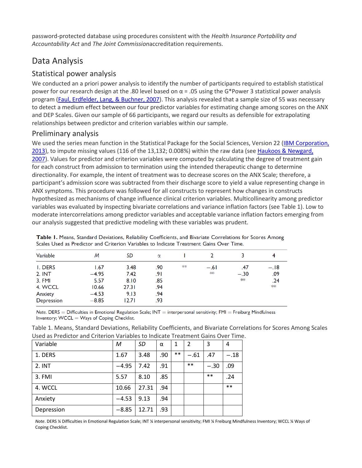password-protected database using procedures consistent with the *Health Insurance Portability and Accountability Act* and *The Joint Commission*accreditation requirements.

## Data Analysis

#### Statistical power analysis

We conducted an a priori power analysis to identify the number of participants required to establish statistical power for our research design at the .80 level based on α = .05 using the G\*Power 3 statistical power analysis program [\(Faul, Erdfelder, Lang, & Buchner, 2007\)](https://www.tandfonline.com/doi/full/10.1177/2150137816642439). This analysis revealed that a sample size of 55 was necessary to detect a medium effect between our four predictor variables for estimating change among scores on the ANX and DEP Scales. Given our sample of 66 participants, we regard our results as defensible for extrapolating relationships between predictor and criterion variables within our sample.

#### Preliminary analysis

We used the series mean function in the Statistical Package for the Social Sciences, Version 22 (IBM Corporation, [2013\)](https://www.tandfonline.com/doi/full/10.1177/2150137816642439), to impute missing values (116 of the 13,132; 0.008%) within the raw data (see [Haukoos & Newgard,](https://www.tandfonline.com/doi/full/10.1177/2150137816642439)  [2007\)](https://www.tandfonline.com/doi/full/10.1177/2150137816642439). Values for predictor and criterion variables were computed by calculating the degree of treatment gain for each construct from admission to termination using the intended therapeutic change to determine directionality. For example, the intent of treatment was to decrease scores on the ANX Scale; therefore, a participant's admission score was subtracted from their discharge score to yield a value representing change in ANX symptoms. This procedure was followed for all constructs to represent how changes in constructs hypothesized as mechanisms of change influence clinical criterion variables. Multicollinearity among predictor variables was evaluated by inspecting bivariate correlations and variance inflation factors (see Table 1). Low to moderate intercorrelations among predictor variables and acceptable variance inflation factors emerging from our analysis suggested that predictive modeling with these variables was prudent.

| Variable   | M       | SD    | $\alpha$ |      |        |        |        |
|------------|---------|-------|----------|------|--------|--------|--------|
| I. DERS    | 1.67    | 3.48  | .90      | $**$ | $-.61$ | .47    | $-.18$ |
| 2. INT     | $-4.95$ | 7.42  | .91      |      | $*$    | $-.30$ | .09    |
| 3. FMI     | 5.57    | 8.10  | .85      |      |        | $*$    | .24    |
| 4. WCCL    | 10.66   | 27.31 | .94      |      |        |        | $*$    |
| Anxiety    | $-4.53$ | 9.13  | .94      |      |        |        |        |
| Depression | $-8.85$ | 12.71 | .93      |      |        |        |        |

| Table I. Means, Standard Deviations, Reliability Coefficients, and Bivariate Correlations for Scores Among |
|------------------------------------------------------------------------------------------------------------|
| Scales Used as Predictor and Criterion Variables to Indicate Treatment Gains Over Time.                    |

Note. DERS = Difficulties in Emotional Regulation Scale;  $INT =$  interpersonal sensitivity;  $FMI =$  Freiburg Mindfulness Inventory; WCCL = Ways of Coping Checklist.

| Table 1. Means, Standard Deviations, Reliability Coefficients, and Bivariate Correlations for Scores Among Scales |  |  |  |
|-------------------------------------------------------------------------------------------------------------------|--|--|--|
| Used as Predictor and Criterion Variables to Indicate Treatment Gains Over Time.                                  |  |  |  |

| Variable   | M       | <b>SD</b> | α   | 1     | $\overline{2}$ | 3      | 4      |
|------------|---------|-----------|-----|-------|----------------|--------|--------|
| 1. DERS    | 1.67    | 3.48      | .90 | $***$ | $-.61$         | .47    | $-.18$ |
| 2. INT     | $-4.95$ | 7.42      | .91 |       | $***$          | $-.30$ | .09    |
| 3. FMI     | 5.57    | 8.10      | .85 |       |                | $***$  | .24    |
| 4. WCCL    | 10.66   | 27.31     | .94 |       |                |        | $***$  |
| Anxiety    | $-4.53$ | 9.13      | .94 |       |                |        |        |
| Depression | $-8.85$ | 12.71     | .93 |       |                |        |        |

*Note*. DERS ¼ Difficulties in Emotional Regulation Scale; INT ¼ interpersonal sensitivity; FMI ¼ Freiburg Mindfulness Inventory; WCCL ¼ Ways of Coping Checklist.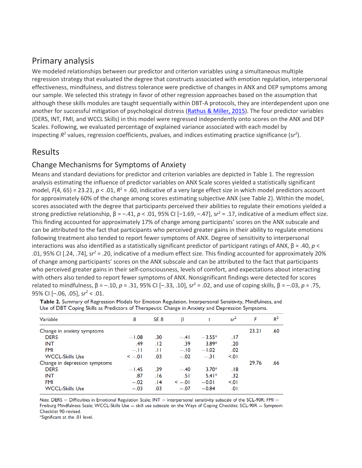## Primary analysis

We modeled relationships between our predictor and criterion variables using a simultaneous multiple regression strategy that evaluated the degree that constructs associated with emotion regulation, interpersonal effectiveness, mindfulness, and distress tolerance were predictive of changes in ANX and DEP symptoms among our sample. We selected this strategy in favor of other regression approaches based on the assumption that although these skills modules are taught sequentially within DBT-A protocols, they are interdependent upon one another for successful mitigation of psychological distress [\(Rathus & Miller, 2015\)](https://www.tandfonline.com/doi/full/10.1177/2150137816642439). The four predictor variables (DERS, INT, FMI, and WCCL Skills) in this model were regressed independently onto scores on the ANX and DEP Scales. Following, we evaluated percentage of explained variance associated with each model by inspecting *R*<sup>2</sup> values, regression coefficients, *p*values, and indices estimating practice significance (s*r* 2 ).

## Results

#### Change Mechanisms for Symptoms of Anxiety

Means and standard deviations for predictor and criterion variables are depicted in Table 1. The regression analysis estimating the influence of predictor variables on ANX Scale scores yielded a statistically significant model,  $F(4, 65) = 23.21$ ,  $p < .01$ ,  $R^2 = .60$ , indicative of a very large effect size in which model predictors account for approximately 60% of the change among scores estimating subjective ANX (see Table 2). Within the model, scores associated with the degree that participants perceived their abilities to regulate their emotions yielded a strong predictive relationship,  $\beta$  = -.41,  $p$  < .01, 95% CI [-1.69, -.47], sr<sup>2</sup> = .17, indicative of a medium effect size. This finding accounted for approximately 17% of change among participants' scores on the ANX subscale and can be attributed to the fact that participants who perceived greater gains in their ability to regulate emotions following treatment also tended to report fewer symptoms of ANX. Degree of sensitivity to interpersonal interactions was also identified as a statistically significant predictor of participant ratings of ANX, β = .40, *p* < .01, 95% CI [.24, .74], s*r <sup>2</sup>* = .20, indicative of a medium effect size. This finding accounted for approximately 20% of change among participants' scores on the ANX subscale and can be attributed to the fact that participants who perceived greater gains in their self-consciousness, levels of comfort, and expectations about interacting with others also tended to report fewer symptoms of ANX. Nonsignificant findings were detected for scores related to mindfulness, β = ‒.10, *p* = .31, 95% CI [‒.33, .10], s*r* <sup>2</sup> = .02, and use of coping skills, β = ‒.03, *p* = .75, 95% CI [‒.06, .05], s*r* <sup>2</sup> < .01.

| Variable                      | B           | SE B | $\beta$     | t        | $sr^2$ | F     | $R^2$ |
|-------------------------------|-------------|------|-------------|----------|--------|-------|-------|
| Change in anxiety symptoms    |             |      |             |          |        | 23.21 | .60   |
| <b>DERS</b>                   | $-1.08$     | .30  | $-.41$      | $-3.55*$ | .17    |       |       |
| <b>INT</b>                    | .49         | .12  | .39         | $3.89*$  | .20    |       |       |
| <b>FMI</b>                    | $-.11$      | .H   | $-.10$      | $-1.02$  | .02    |       |       |
| <b>WCCL-Skills Use</b>        | $\le -0.01$ | .03  | $-.02$      | $-.31$   | 5.01   |       |       |
| Change in depression symptoms |             |      |             |          |        | 29.76 | .66   |
| <b>DERS</b>                   | $-1.45$     | .39  | $-.40$      | $3.70*$  | .18    |       |       |
| <b>INT</b>                    | .87         | .16  | .51         | $5.41*$  | .32    |       |       |
| <b>FMI</b>                    | $-.02$      | .14  | $\le -0.01$ | $-0.01$  | 5.01   |       |       |
| <b>WCCL-Skills Use</b>        | $-.03$      | .03  | $-.07$      | $-0.84$  | 0١.    |       |       |

Table 2. Summary of Regression Models for Emotion Regulation, Interpersonal Sensitivity, Mindfulness, and Use of DBT Coping Skills as Predictors of Therapeutic Change in Anxiety and Depression Symptoms.

Note. DERS = Difficulties in Emotional Regulation Scale;  $INT =$  interpersonal sensitivity subscale of the SCL-90R; FMI = Freiburg Mindfulness Scale; WCCL-Skills Use = skill use subscale on the Ways of Coping Checklist; SCL-90R = Symptom Checklist 90-revised.

\*Significant at the .01 level.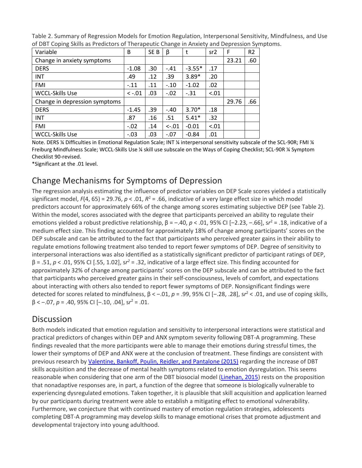Table 2. Summary of Regression Models for Emotion Regulation, Interpersonal Sensitivity, Mindfulness, and Use of DBT Coping Skills as Predictors of Therapeutic Change in Anxiety and Depression Symptoms.

| Variable                      | B         | SE <sub>B</sub> | β      | t        | sr <sub>2</sub> | F     | R <sub>2</sub> |
|-------------------------------|-----------|-----------------|--------|----------|-----------------|-------|----------------|
| Change in anxiety symptoms    |           |                 |        |          |                 | 23.21 | .60            |
| <b>DERS</b>                   | $-1.08$   | .30             | $-.41$ | $-3.55*$ | .17             |       |                |
| <b>INT</b>                    | .49       | .12             | .39    | $3.89*$  | .20             |       |                |
| <b>FMI</b>                    | $-.11$    | .11             | $-.10$ | $-1.02$  | .02             |       |                |
| <b>WCCL-Skills Use</b>        | $< -0.01$ | .03             | $-.02$ | $-.31$   | < .01           |       |                |
| Change in depression symptoms |           |                 |        |          |                 | 29.76 | .66            |
| <b>DERS</b>                   | $-1.45$   | .39             | $-.40$ | $3.70*$  | .18             |       |                |
| <b>INT</b>                    | .87       | .16             | .51    | $5.41*$  | .32             |       |                |
| <b>FMI</b>                    | $-.02$    | .14             | < 0.01 | $-0.01$  | < .01           |       |                |
| <b>WCCL-Skills Use</b>        | $-.03$    | .03             | $-.07$ | $-0.84$  | .01             |       |                |

Note. DERS ¼ Difficulties in Emotional Regulation Scale; INT ¼ interpersonal sensitivity subscale of the SCL-90R; FMI ¼ Freiburg Mindfulness Scale; WCCL-Skills Use ¼ skill use subscale on the Ways of Coping Checklist; SCL-90R ¼ Symptom Checklist 90-revised.

\*Significant at the .01 level.

## Change Mechanisms for Symptoms of Depression

The regression analysis estimating the influence of predictor variables on DEP Scale scores yielded a statistically significant model,  $F(4, 65) = 29.76$ ,  $p < .01$ ,  $R^2 = .66$ , indicative of a very large effect size in which model predictors account for approximately 66% of the change among scores estimating subjective DEP (see Table 2). Within the model, scores associated with the degree that participants perceived an ability to regulate their emotions yielded a robust predictive relationship, β = -.40, *p* < .01, 95% CI [-2.23, -.66], sr<sup>2</sup> = .18, indicative of a medium effect size. This finding accounted for approximately 18% of change among participants' scores on the DEP subscale and can be attributed to the fact that participants who perceived greater gains in their ability to regulate emotions following treatment also tended to report fewer symptoms of DEP. Degree of sensitivity to interpersonal interactions was also identified as a statistically significant predictor of participant ratings of DEP, β = .51, *p* < .01, 95% CI [.55, 1.02], s*r <sup>2</sup>* = .32, indicative of a large effect size. This finding accounted for approximately 32% of change among participants' scores on the DEP subscale and can be attributed to the fact that participants who perceived greater gains in their self-consciousness, levels of comfort, and expectations about interacting with others also tended to report fewer symptoms of DEP. Nonsignificant findings were detected for scores related to mindfulness, β < -.01, p = .99, 95% CI [-.28, .28], sr<sup>2</sup> < .01, and use of coping skills, β < ‒.07, *p* = .40, 95% CI [‒.10, .04], s*r* <sup>2</sup> = .01.

## **Discussion**

Both models indicated that emotion regulation and sensitivity to interpersonal interactions were statistical and practical predictors of changes within DEP and ANX symptom severity following DBT-A programming. These findings revealed that the more participants were able to manage their emotions during stressful times, the lower their symptoms of DEP and ANX were at the conclusion of treatment. These findings are consistent with previous research by [Valentine, Bankoff, Poulin, Reidler, and Pantalone \(2015\)](https://www.tandfonline.com/doi/full/10.1177/2150137816642439) regarding the increase of DBT skills acquisition and the decrease of mental health symptoms related to emotion dysregulation. This seems reasonable when considering that one arm of the DBT biosocial model [\(Linehan, 2015\)](https://www.tandfonline.com/doi/full/10.1177/2150137816642439) rests on the proposition that nonadaptive responses are, in part, a function of the degree that someone is biologically vulnerable to experiencing dysregulated emotions. Taken together, it is plausible that skill acquisition and application learned by our participants during treatment were able to establish a mitigating effect to emotional vulnerability. Furthermore, we conjecture that with continued mastery of emotion regulation strategies, adolescents completing DBT-A programming may develop skills to manage emotional crises that promote adjustment and developmental trajectory into young adulthood.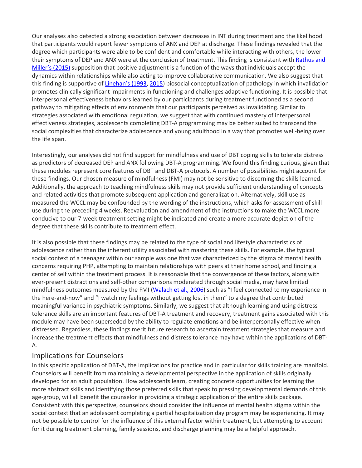Our analyses also detected a strong association between decreases in INT during treatment and the likelihood that participants would report fewer symptoms of ANX and DEP at discharge. These findings revealed that the degree which participants were able to be confident and comfortable while interacting with others, the lower their symptoms of DEP and ANX were at the conclusion of treatment. This finding is consistent with Rathus and [Miller's \(2015\)](https://www.tandfonline.com/doi/full/10.1177/2150137816642439) supposition that positive adjustment is a function of the ways that individuals accept the dynamics within relationships while also acting to improve collaborative communication. We also suggest that this finding is supportive of [Linehan's \(1993,](https://www.tandfonline.com/doi/full/10.1177/2150137816642439) [2015\)](https://www.tandfonline.com/doi/full/10.1177/2150137816642439) biosocial conceptualization of pathology in which invalidation promotes clinically significant impairments in functioning and challenges adaptive functioning. It is possible that interpersonal effectiveness behaviors learned by our participants during treatment functioned as a second pathway to mitigating effects of environments that our participants perceived as invalidating. Similar to strategies associated with emotional regulation, we suggest that with continued mastery of interpersonal effectiveness strategies, adolescents completing DBT-A programming may be better suited to transcend the social complexities that characterize adolescence and young adulthood in a way that promotes well-being over the life span.

Interestingly, our analyses did not find support for mindfulness and use of DBT coping skills to tolerate distress as predictors of decreased DEP and ANX following DBT-A programming. We found this finding curious, given that these modules represent core features of DBT and DBT-A protocols. A number of possibilities might account for these findings. Our chosen measure of mindfulness (FMI) may not be sensitive to discerning the skills learned. Additionally, the approach to teaching mindfulness skills may not provide sufficient understanding of concepts and related activities that promote subsequent application and generalization. Alternatively, skill use as measured the WCCL may be confounded by the wording of the instructions, which asks for assessment of skill use during the preceding 4 weeks. Reevaluation and amendment of the instructions to make the WCCL more conducive to our 7-week treatment setting might be indicated and create a more accurate depiction of the degree that these skills contribute to treatment effect.

It is also possible that these findings may be related to the type of social and lifestyle characteristics of adolescence rather than the inherent utility associated with mastering these skills. For example, the typical social context of a teenager within our sample was one that was characterized by the stigma of mental health concerns requiring PHP, attempting to maintain relationships with peers at their home school, and finding a center of self within the treatment process. It is reasonable that the convergence of these factors, along with ever-present distractions and self-other comparisons moderated through social media, may have limited mindfulness outcomes measured by the FMI [\(Walach et al., 2006\)](https://www.tandfonline.com/doi/full/10.1177/2150137816642439) such as "I feel connected to my experience in the here-and-now" and "I watch my feelings without getting lost in them" to a degree that contributed meaningful variance in psychiatric symptoms. Similarly, we suggest that although learning and using distress tolerance skills are an important features of DBT-A treatment and recovery, treatment gains associated with this module may have been superseded by the ability to regulate emotions and be interpersonally effective when distressed. Regardless, these findings merit future research to ascertain treatment strategies that measure and increase the treatment effects that mindfulness and distress tolerance may have within the applications of DBT-A.

#### Implications for Counselors

In this specific application of DBT-A, the implications for practice and in particular for skills training are manifold. Counselors will benefit from maintaining a developmental perspective in the application of skills originally developed for an adult population. How adolescents learn, creating concrete opportunities for learning the more abstract skills and identifying those preferred skills that speak to pressing developmental demands of this age-group, will all benefit the counselor in providing a strategic application of the entire skills package. Consistent with this perspective, counselors should consider the influence of mental health stigma within the social context that an adolescent completing a partial hospitalization day program may be experiencing. It may not be possible to control for the influence of this external factor within treatment, but attempting to account for it during treatment planning, family sessions, and discharge planning may be a helpful approach.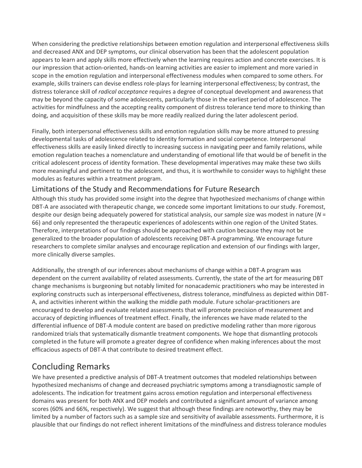When considering the predictive relationships between emotion regulation and interpersonal effectiveness skills and decreased ANX and DEP symptoms, our clinical observation has been that the adolescent population appears to learn and apply skills more effectively when the learning requires action and concrete exercises. It is our impression that action-oriented, hands-on learning activities are easier to implement and more varied in scope in the emotion regulation and interpersonal effectiveness modules when compared to some others. For example, skills trainers can devise endless role-plays for learning interpersonal effectiveness; by contrast, the distress tolerance skill of *radical acceptance* requires a degree of conceptual development and awareness that may be beyond the capacity of some adolescents, particularly those in the earliest period of adolescence. The activities for mindfulness and the accepting reality component of distress tolerance tend more to thinking than doing, and acquisition of these skills may be more readily realized during the later adolescent period.

Finally, both interpersonal effectiveness skills and emotion regulation skills may be more attuned to pressing developmental tasks of adolescence related to identity formation and social competence. Interpersonal effectiveness skills are easily linked directly to increasing success in navigating peer and family relations, while emotion regulation teaches a nomenclature and understanding of emotional life that would be of benefit in the critical adolescent process of identity formation. These developmental imperatives may make these two skills more meaningful and pertinent to the adolescent, and thus, it is worthwhile to consider ways to highlight these modules as features within a treatment program.

#### Limitations of the Study and Recommendations for Future Research

Although this study has provided some insight into the degree that hypothesized mechanisms of change within DBT-A are associated with therapeutic change, we concede some important limitations to our study. Foremost, despite our design being adequately powered for statistical analysis, our sample size was modest in nature (*N* = 66) and only represented the therapeutic experiences of adolescents within one region of the United States. Therefore, interpretations of our findings should be approached with caution because they may not be generalized to the broader population of adolescents receiving DBT-A programming. We encourage future researchers to complete similar analyses and encourage replication and extension of our findings with larger, more clinically diverse samples.

Additionally, the strength of our inferences about mechanisms of change within a DBT-A program was dependent on the current availability of related assessments. Currently, the state of the art for measuring DBT change mechanisms is burgeoning but notably limited for nonacademic practitioners who may be interested in exploring constructs such as interpersonal effectiveness, distress tolerance, mindfulness as depicted within DBT-A, and activities inherent within the walking the middle path module. Future scholar-practitioners are encouraged to develop and evaluate related assessments that will promote precision of measurement and accuracy of depicting influences of treatment effect. Finally, the inferences we have made related to the differential influence of DBT-A module content are based on predictive modeling rather than more rigorous randomized trials that systematically dismantle treatment components. We hope that dismantling protocols completed in the future will promote a greater degree of confidence when making inferences about the most efficacious aspects of DBT-A that contribute to desired treatment effect.

## Concluding Remarks

We have presented a predictive analysis of DBT-A treatment outcomes that modeled relationships between hypothesized mechanisms of change and decreased psychiatric symptoms among a transdiagnostic sample of adolescents. The indication for treatment gains across emotion regulation and interpersonal effectiveness domains was present for both ANX and DEP models and contributed a significant amount of variance among scores (60% and 66%, respectively). We suggest that although these findings are noteworthy, they may be limited by a number of factors such as a sample size and sensitivity of available assessments. Furthermore, it is plausible that our findings do not reflect inherent limitations of the mindfulness and distress tolerance modules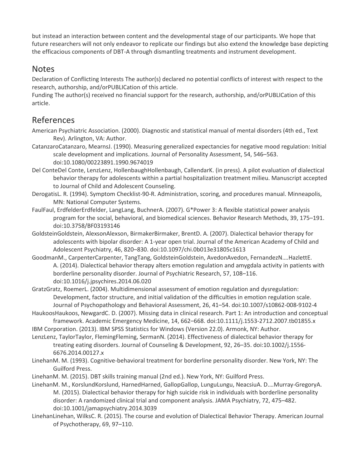but instead an interaction between content and the developmental stage of our participants. We hope that future researchers will not only endeavor to replicate our findings but also extend the knowledge base depicting the efficacious components of DBT-A through dismantling treatments and instrument development.

## Notes

Declaration of Conflicting Interests The author(s) declared no potential conflicts of interest with respect to the research, authorship, and/orPUBLICation of this article.

Funding The author(s) received no financial support for the research, authorship, and/orPUBLICation of this article.

## References

- American Psychiatric Association. (2000). Diagnostic and statistical manual of mental disorders (4th ed., Text Rev). Arlington, VA: Author.
- CatanzaroCatanzaro, MearnsJ. (1990). Measuring generalized expectancies for negative mood regulation: Initial scale development and implications. Journal of Personality Assessment, 54, 546–563. doi:10.1080/00223891.1990.9674019
- Del ConteDel Conte, LenzLenz, HollenbaughHollenbaugh, CallendarK. (in press). A pilot evaluation of dialectical behavior therapy for adolescents within a partial hospitalization treatment milieu. Manuscript accepted to Journal of Child and Adolescent Counseling.
- DerogatisL. R. (1994). Symptom Checklist-90-R. Administration, scoring, and procedures manual. Minneapolis, MN: National Computer Systems.
- FaulFaul, ErdfelderErdfelder, LangLang, BuchnerA. (2007). G\*Power 3: A flexible statistical power analysis program for the social, behavioral, and biomedical sciences. Behavior Research Methods, 39, 175–191. doi:10.3758/BF03193146
- GoldsteinGoldstein, AlexsonAlexson, BirmakerBirmaker, BrentD. A. (2007). Dialectical behavior therapy for adolescents with bipolar disorder: A 1-year open trial. Journal of the American Academy of Child and Adolescent Psychiatry, 46, 820–830. doi:10.1097/chi.0b013e31805c1613
- GoodmanM., CarpenterCarpenter, TangTang, GoldsteinGoldstein, AvedonAvedon, FernandezN.…HazlettE. A. (2014). Dialectical behavior therapy alters emotion regulation and amygdala activity in patients with borderline personality disorder. Journal of Psychiatric Research, 57, 108–116. doi:10.1016/j.jpsychires.2014.06.020
- GratzGratz, RoemerL. (2004). Multidimensional assessment of emotion regulation and dysregulation: Development, factor structure, and initial validation of the difficulties in emotion regulation scale. Journal of Psychopathology and Behavioral Assessment, 26, 41–54. doi:10.1007/s10862-008-9102-4
- HaukoosHaukoos, NewgardC. D. (2007). Missing data in clinical research. Part 1: An introduction and conceptual framework. Academic Emergency Medicine, 14, 662–668. doi:10.1111/j.1553-2712.2007.tb01855.x
- IBM Corporation. (2013). IBM SPSS Statistics for Windows (Version 22.0). Armonk, NY: Author.
- LenzLenz, TaylorTaylor, FlemingFleming, SermanN. (2014). Effectiveness of dialectical behavior therapy for treating eating disorders. Journal of Counseling & Development, 92, 26–35. doi:10.1002/j.1556- 6676.2014.00127.x
- LinehanM. M. (1993). Cognitive-behavioral treatment for borderline personality disorder. New York, NY: The Guilford Press.
- LinehanM. M. (2015). DBT skills training manual (2nd ed.). New York, NY: Guilford Press.
- LinehanM. M., KorslundKorslund, HarnedHarned, GallopGallop, LunguLungu, NeacsiuA. D.…Murray-GregoryA. M. (2015). Dialectical behavior therapy for high suicide risk in individuals with borderline personality disorder: A randomized clinical trial and component analysis. JAMA Psychiatry, 72, 475–482. doi:10.1001/jamapsychiatry.2014.3039
- LinehanLinehan, WilksC. R. (2015). The course and evolution of Dialectical Behavior Therapy. American Journal of Psychotherapy, 69, 97–110.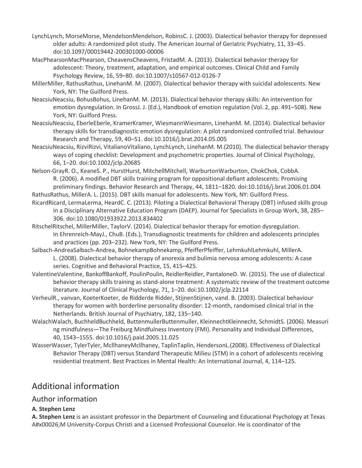- LynchLynch, MorseMorse, MendelsonMendelson, RobinsC. J. (2003). Dialectical behavior therapy for depressed older adults: A randomized pilot study. The American Journal of Geriatric Psychiatry, 11, 33–45. doi:10.1097/00019442-200301000-00006
- MacPhearsonMacPhearson, CheavensCheavens, FristadM. A. (2013). Dialectical behavior therapy for adolescent: Theory, treatment, adaptation, and empirical outcomes. Clinical Child and Family Psychology Review, 16, 59–80. doi:10.1007/s10567-012-0126-7
- MillerMiller, RathusRathus, LinehanM. M. (2007). Dialectical behavior therapy with suicidal adolescents. New York, NY: The Guilford Press.
- NeacsiuNeacsiu, BohusBohus, LinehanM. M. (2013). Dialectical behavior therapy skills: An intervention for emotion dysregulation. In GrossJ. J. (Ed.), Handbook of emotion regulation (Vol. 2, pp. 491–508). New York, NY: Guilford Press.
- NeacsiuNeacsiu, EberleEberle, KramerKramer, WiesmannWiesmann, LinehanM. M. (2014). Dialectical behavior therapy skills for transdiagnostic emotion dysregulation: A pilot randomized controlled trial. Behaviour Research and Therapy, 59, 40–51. doi:10.1016/j.brat.2014.05.005
- NeacsiuNeacsiu, RizviRizvi, VitalianoVitaliano, LynchLynch, LinehanM. M.(2010). The dialectical behavior therapy ways of coping checklist: Development and psychometric properties. Journal of Clinical Psychology, 66, 1–20. doi:10.1002/jclp.20685
- Nelson-GrayR. O., KeaneS. P., HurstHurst, MitchellMitchell, WarburtonWarburton, ChokChok, CobbA. R. (2006). A modified DBT skills training program for oppositional defiant adolescents: Promising preliminary findings. Behavior Research and Therapy, 44, 1811–1820. doi:10.1016/j.brat.2006.01.004
- RathusRathus, MillerA. L. (2015). DBT skills manual for adolescents. New York, NY: Guilford Press.
- RicardRicard, LermaLerma, HeardC. C. (2013). Piloting a Dialectical Behavioral Therapy (DBT) infused skills group in a Disciplinary Alternative Education Program (DAEP). Journal for Specialists in Group Work, 38, 285– 306. doi:10.1080/01933922.2013.834402
- RitschelRitschel, MillerMiller, TaylorV. (2014). Dialectical behavior therapy for emotion dysregulation. In Ehrenreich-MayJ., ChuB. (Eds.), Transdiagnostic treatments for children and adolescents principles and practices (pp. 203–232). New York, NY: The Guilford Press.
- Salbach-AndreaSalbach-Andrea, BohnekampBohnekamp, PfeifferPfeiffer, LehmkuhlLehmkuhl, MillerA. L. (2008). Dialectical behavior therapy of anorexia and bulimia nervosa among adolescents: A case series. Cognitive and Behavioral Practice, 15, 415–425.
- ValentineValentine, BankoffBankoff, PoulinPoulin, ReidlerReidler, PantaloneD. W. (2015). The use of dialectical behavior therapy skills training as stand-alone treatment: A systematic review of the treatment outcome literature. Journal of Clinical Psychology, 71, 1–20. doi:10.1002/jclp.22114
- VerheulR., vanvan, KoeterKoeter, de Ridderde Ridder, StijnenStijnen, vand. B. (2003). Dialectical behaviour therapy for women with borderline personality disorder: 12-month, randomised clinical trial in the Netherlands. British Journal of Psychiatry, 182, 135–140.
- WalachWalach, BuchheldBuchheld, ButtenmullerButtenmuller, KleinnechtKleinnecht, SchmidtS. (2006). Measuri ng mindfulness—The Freiburg Mindfulness Inventory (FMI). Personality and Individual Differences, 40, 1543–1555. doi:10.1016/j.paid.2005.11.025
- WasserWasser, TylerTyler, McllhaneyMcllhaney, TaplinTaplin, HendersonL.(2008). Effectiveness of Dialectical Behavior Therapy (DBT) versus Standard Therapeutic Milieu (STM) in a cohort of adolescents receiving residential treatment. Best Practices in Mental Health: An International Journal, 4, 114–125.

# Additional information

#### Author information

#### **A. Stephen Lenz**

**A. Stephen Lenz** is an assistant professor in the Department of Counseling and Educational Psychology at Texas A#x00026;M University-Corpus Christi and a Licensed Professional Counselor. He is coordinator of the